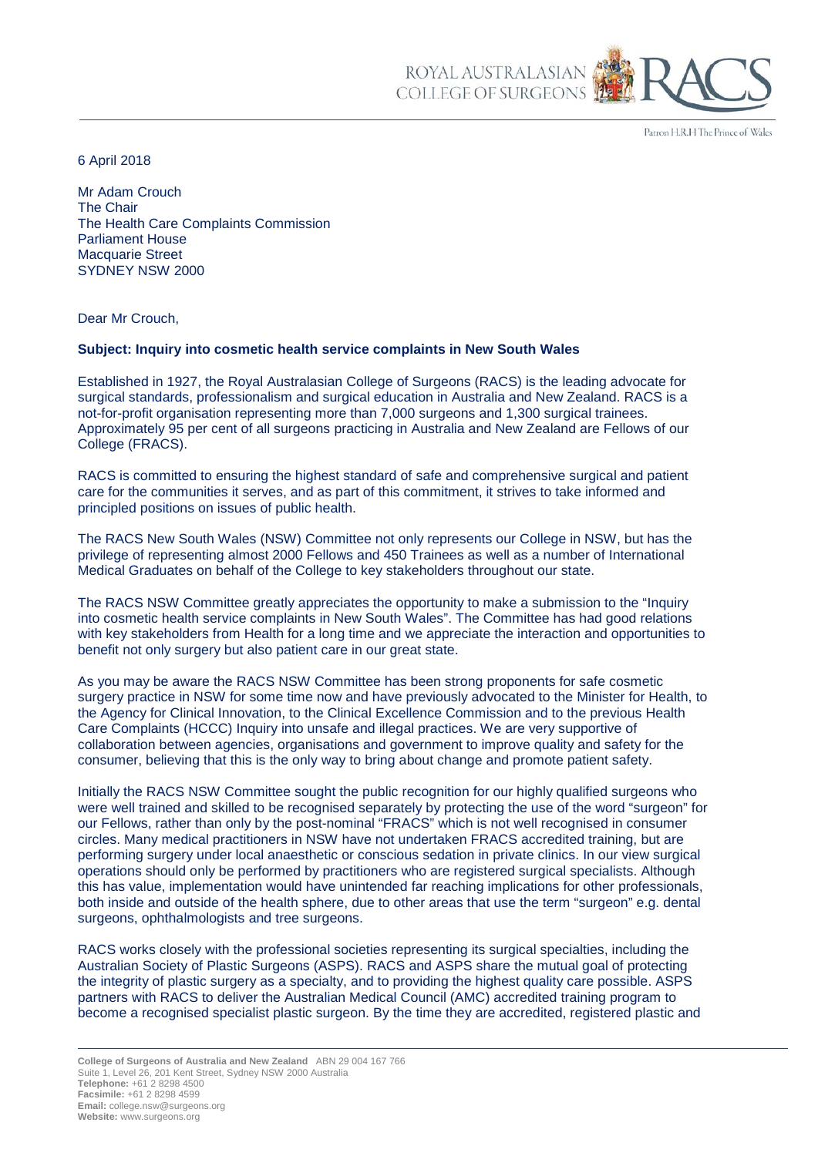Patron H.R.H The Prince of Wales

6 April 2018

Mr Adam Crouch The Chair The Health Care Complaints Commission Parliament House Macquarie Street SYDNEY NSW 2000

Dear Mr Crouch,

## **Subject: Inquiry into cosmetic health service complaints in New South Wales**

Established in 1927, the Royal Australasian College of Surgeons (RACS) is the leading advocate for surgical standards, professionalism and surgical education in Australia and New Zealand. RACS is a not-for-profit organisation representing more than 7,000 surgeons and 1,300 surgical trainees. Approximately 95 per cent of all surgeons practicing in Australia and New Zealand are Fellows of our College (FRACS).

ROYAL AUSTRALASIA COLLEGE OF SURGEONS

RACS is committed to ensuring the highest standard of safe and comprehensive surgical and patient care for the communities it serves, and as part of this commitment, it strives to take informed and principled positions on issues of public health.

The RACS New South Wales (NSW) Committee not only represents our College in NSW, but has the privilege of representing almost 2000 Fellows and 450 Trainees as well as a number of International Medical Graduates on behalf of the College to key stakeholders throughout our state.

The RACS NSW Committee greatly appreciates the opportunity to make a submission to the "Inquiry into cosmetic health service complaints in New South Wales". The Committee has had good relations with key stakeholders from Health for a long time and we appreciate the interaction and opportunities to benefit not only surgery but also patient care in our great state.

As you may be aware the RACS NSW Committee has been strong proponents for safe cosmetic surgery practice in NSW for some time now and have previously advocated to the Minister for Health, to the Agency for Clinical Innovation, to the Clinical Excellence Commission and to the previous Health Care Complaints (HCCC) Inquiry into unsafe and illegal practices. We are very supportive of collaboration between agencies, organisations and government to improve quality and safety for the consumer, believing that this is the only way to bring about change and promote patient safety.

Initially the RACS NSW Committee sought the public recognition for our highly qualified surgeons who were well trained and skilled to be recognised separately by protecting the use of the word "surgeon" for our Fellows, rather than only by the post-nominal "FRACS" which is not well recognised in consumer circles. Many medical practitioners in NSW have not undertaken FRACS accredited training, but are performing surgery under local anaesthetic or conscious sedation in private clinics. In our view surgical operations should only be performed by practitioners who are registered surgical specialists. Although this has value, implementation would have unintended far reaching implications for other professionals, both inside and outside of the health sphere, due to other areas that use the term "surgeon" e.g. dental surgeons, ophthalmologists and tree surgeons.

RACS works closely with the professional societies representing its surgical specialties, including the Australian Society of Plastic Surgeons (ASPS). RACS and ASPS share the mutual goal of protecting the integrity of plastic surgery as a specialty, and to providing the highest quality care possible. ASPS partners with RACS to deliver the Australian Medical Council (AMC) accredited training program to become a recognised specialist plastic surgeon. By the time they are accredited, registered plastic and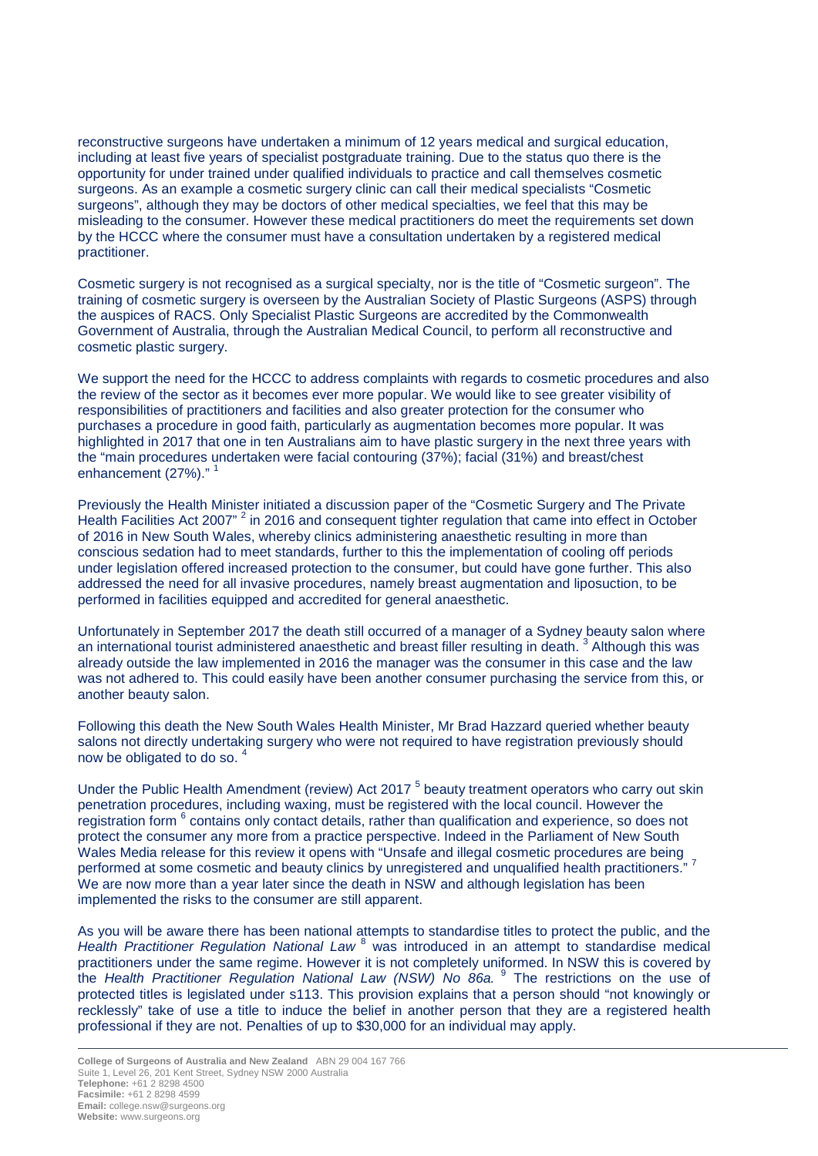reconstructive surgeons have undertaken a minimum of 12 years medical and surgical education, including at least five years of specialist postgraduate training. Due to the status quo there is the opportunity for under trained under qualified individuals to practice and call themselves cosmetic surgeons. As an example a cosmetic surgery clinic can call their medical specialists "Cosmetic surgeons", although they may be doctors of other medical specialties, we feel that this may be misleading to the consumer. However these medical practitioners do meet the requirements set down by the HCCC where the consumer must have a consultation undertaken by a registered medical practitioner.

Cosmetic surgery is not recognised as a surgical specialty, nor is the title of "Cosmetic surgeon". The training of cosmetic surgery is overseen by the Australian Society of Plastic Surgeons (ASPS) through the auspices of RACS. Only Specialist Plastic Surgeons are accredited by the Commonwealth Government of Australia, through the Australian Medical Council, to perform all reconstructive and cosmetic plastic surgery.

We support the need for the HCCC to address complaints with regards to cosmetic procedures and also the review of the sector as it becomes ever more popular. We would like to see greater visibility of responsibilities of practitioners and facilities and also greater protection for the consumer who purchases a procedure in good faith, particularly as augmentation becomes more popular. It was highlighted in 2017 that one in ten Australians aim to have plastic surgery in the next three years with the "main procedures undertaken were facial contouring (37%); facial (31%) and breast/chest enhancement (27%)."<sup>1</sup>

Previously the Health Minister initiated a discussion paper of the "Cosmetic Surgery and The Private Health Facilities Act 2007<sup>"</sup> 2 in 2016 and consequent tighter regulation that came into effect in October of 2016 in New South Wales, whereby clinics administering anaesthetic resulting in more than conscious sedation had to meet standards, further to this the implementation of cooling off periods under legislation offered increased protection to the consumer, but could have gone further. This also addressed the need for all invasive procedures, namely breast augmentation and liposuction, to be performed in facilities equipped and accredited for general anaesthetic.

Unfortunately in September 2017 the death still occurred of a manager of a Sydney beauty salon where an international tourist administered anaesthetic and breast filler resulting in death.<sup>3</sup> Although this was already outside the law implemented in 2016 the manager was the consumer in this case and the law was not adhered to. This could easily have been another consumer purchasing the service from this, or another beauty salon.

Following this death the New South Wales Health Minister, Mr Brad Hazzard queried whether beauty salons not directly undertaking surgery who were not required to have registration previously should now be obligated to do so. <sup>4</sup>

Under the Public Health Amendment (review) Act 2017<sup>5</sup> beauty treatment operators who carry out skin penetration procedures, including waxing, must be registered with the local council. However the registration form <sup>6</sup> contains only contact details, rather than qualification and experience, so does not protect the consumer any more from a practice perspective. Indeed in the Parliament of New South Wales Media release for this review it opens with "Unsafe and illegal cosmetic procedures are being performed at some cosmetic and beauty clinics by unregistered and unqualified health practitioners." <sup>7</sup> We are now more than a year later since the death in NSW and although legislation has been implemented the risks to the consumer are still apparent.

As you will be aware there has been national attempts to standardise titles to protect the public, and the Health Practitioner Regulation National Law<sup>8</sup> was introduced in an attempt to standardise medical practitioners under the same regime. However it is not completely uniformed. In NSW this is covered by the *Health Practitioner Regulation National Law (NSW) No 86a.* <sup>9</sup> The restrictions on the use of protected titles is legislated under s113. This provision explains that a person should "not knowingly or recklessly" take of use a title to induce the belief in another person that they are a registered health professional if they are not. Penalties of up to \$30,000 for an individual may apply.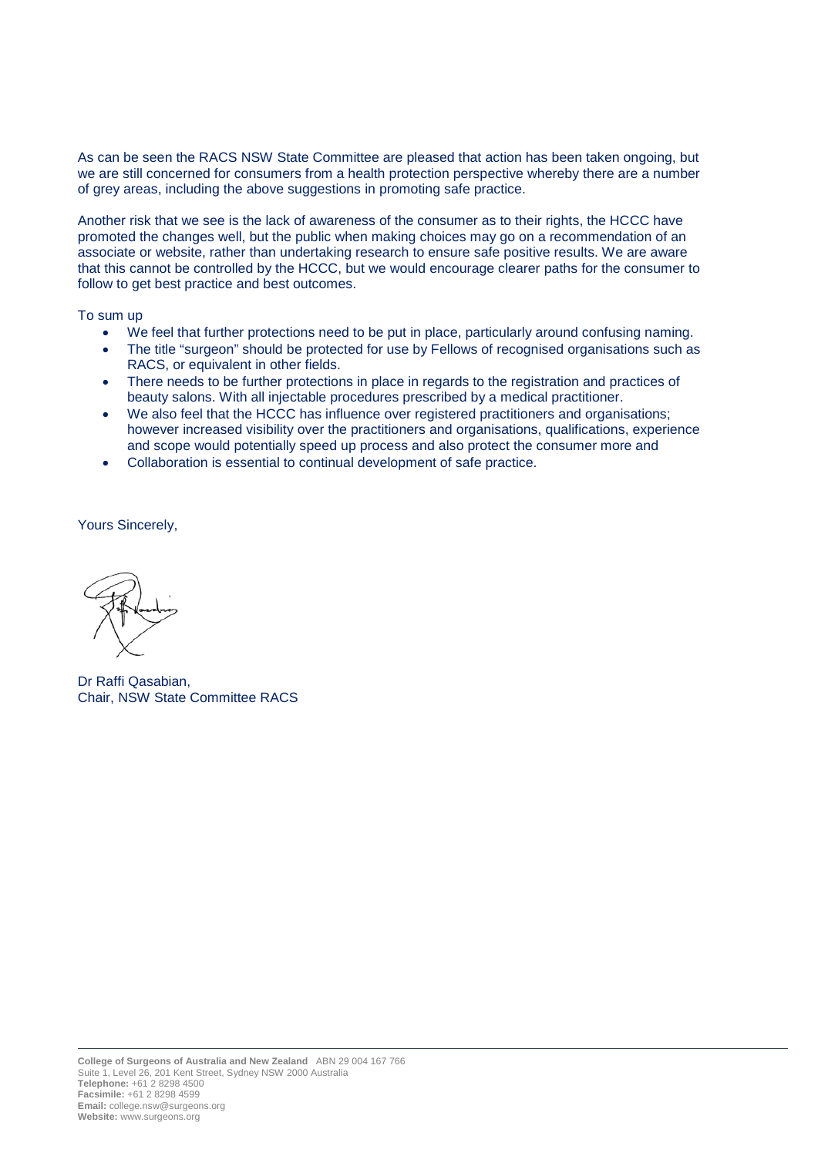As can be seen the RACS NSW State Committee are pleased that action has been taken ongoing, but we are still concerned for consumers from a health protection perspective whereby there are a number of grey areas, including the above suggestions in promoting safe practice.

Another risk that we see is the lack of awareness of the consumer as to their rights, the HCCC have promoted the changes well, but the public when making choices may go on a recommendation of an associate or website, rather than undertaking research to ensure safe positive results. We are aware that this cannot be controlled by the HCCC, but we would encourage clearer paths for the consumer to follow to get best practice and best outcomes.

To sum up

- We feel that further protections need to be put in place, particularly around confusing naming.
- The title "surgeon" should be protected for use by Fellows of recognised organisations such as RACS, or equivalent in other fields.
- There needs to be further protections in place in regards to the registration and practices of beauty salons. With all injectable procedures prescribed by a medical practitioner.
- We also feel that the HCCC has influence over registered practitioners and organisations; however increased visibility over the practitioners and organisations, qualifications, experience and scope would potentially speed up process and also protect the consumer more and
- Collaboration is essential to continual development of safe practice.

Yours Sincerely,

Dr Raffi Qasabian, Chair, NSW State Committee RACS